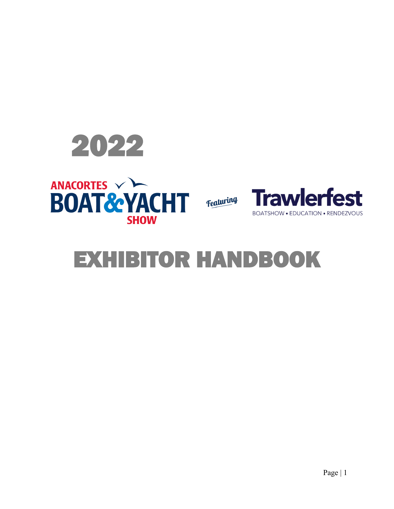





# EXHIBITOR HANDBOOK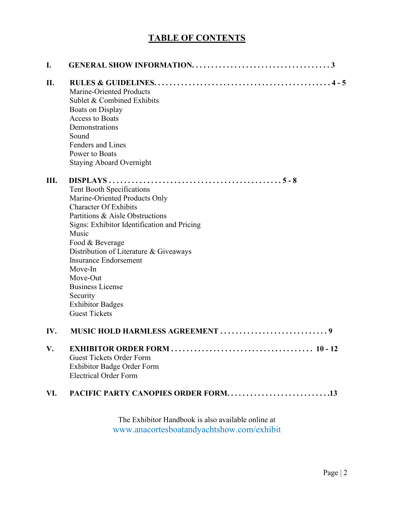# **TABLE OF CONTENTS**

| I.  |                                                                                                                                                                                                                                                                                                                                                                                                     |
|-----|-----------------------------------------------------------------------------------------------------------------------------------------------------------------------------------------------------------------------------------------------------------------------------------------------------------------------------------------------------------------------------------------------------|
| II. | <b>Marine-Oriented Products</b><br>Sublet & Combined Exhibits<br><b>Boats on Display</b><br><b>Access to Boats</b><br>Demonstrations<br>Sound<br>Fenders and Lines<br>Power to Boats<br><b>Staying Aboard Overnight</b>                                                                                                                                                                             |
| Ш.  | Tent Booth Specifications<br>Marine-Oriented Products Only<br><b>Character Of Exhibits</b><br>Partitions & Aisle Obstructions<br>Signs: Exhibitor Identification and Pricing<br>Music<br>Food & Beverage<br>Distribution of Literature & Giveaways<br><b>Insurance Endorsement</b><br>Move-In<br>Move-Out<br><b>Business License</b><br>Security<br><b>Exhibitor Badges</b><br><b>Guest Tickets</b> |
| IV. |                                                                                                                                                                                                                                                                                                                                                                                                     |
| V.  | <b>Guest Tickets Order Form</b><br><b>Exhibitor Badge Order Form</b><br><b>Electrical Order Form</b>                                                                                                                                                                                                                                                                                                |
| VI. |                                                                                                                                                                                                                                                                                                                                                                                                     |

The Exhibitor Handbook is also available online at www.anacortesboatandyachtshow.com/exhibit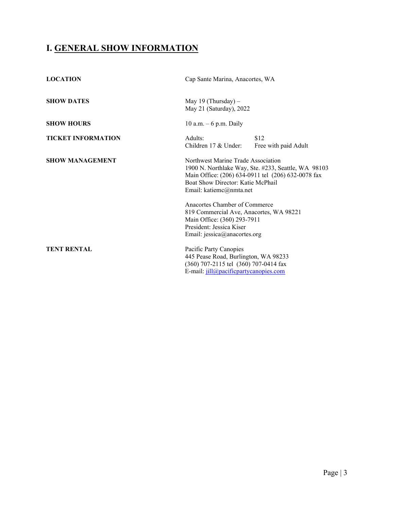## **I. GENERAL SHOW INFORMATION**

| <b>LOCATION</b>           | Cap Sante Marina, Anacortes, WA                                                                                                                                                                                 |
|---------------------------|-----------------------------------------------------------------------------------------------------------------------------------------------------------------------------------------------------------------|
| <b>SHOW DATES</b>         | May 19 (Thursday) $-$<br>May 21 (Saturday), 2022                                                                                                                                                                |
| <b>SHOW HOURS</b>         | 10 a.m. $-6$ p.m. Daily                                                                                                                                                                                         |
| <b>TICKET INFORMATION</b> | Adults:<br>\$12<br>Children 17 & Under:<br>Free with paid Adult                                                                                                                                                 |
| <b>SHOW MANAGEMENT</b>    | Northwest Marine Trade Association<br>1900 N. Northlake Way, Ste. #233, Seattle, WA 98103<br>Main Office: (206) 634-0911 tel (206) 632-0078 fax<br>Boat Show Director: Katie McPhail<br>Email: katiemc@nmta.net |
|                           | Anacortes Chamber of Commerce<br>819 Commercial Ave, Anacortes, WA 98221<br>Main Office: (360) 293-7911<br>President: Jessica Kiser<br>Email: jessica@anacortes.org                                             |
| <b>TENT RENTAL</b>        | Pacific Party Canopies<br>445 Pease Road, Burlington, WA 98233<br>(360) 707-2115 tel (360) 707-0414 fax<br>E-mail: jill@pacificpartycanopies.com                                                                |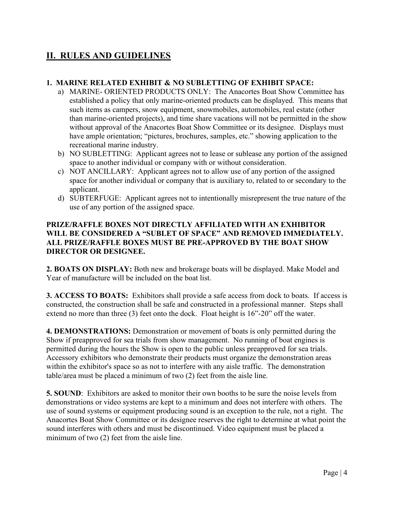## **II. RULES AND GUIDELINES**

#### **1. MARINE RELATED EXHIBIT & NO SUBLETTING OF EXHIBIT SPACE:**

- a) MARINE- ORIENTED PRODUCTS ONLY: The Anacortes Boat Show Committee has established a policy that only marine-oriented products can be displayed. This means that such items as campers, snow equipment, snowmobiles, automobiles, real estate (other than marine-oriented projects), and time share vacations will not be permitted in the show without approval of the Anacortes Boat Show Committee or its designee. Displays must have ample orientation; "pictures, brochures, samples, etc." showing application to the recreational marine industry.
- b) NO SUBLETTING: Applicant agrees not to lease or sublease any portion of the assigned space to another individual or company with or without consideration.
- c) NOT ANCILLARY: Applicant agrees not to allow use of any portion of the assigned space for another individual or company that is auxiliary to, related to or secondary to the applicant.
- d) SUBTERFUGE: Applicant agrees not to intentionally misrepresent the true nature of the use of any portion of the assigned space.

#### **PRIZE/RAFFLE BOXES NOT DIRECTLY AFFILIATED WITH AN EXHIBITOR WILL BE CONSIDERED A "SUBLET OF SPACE" AND REMOVED IMMEDIATELY. ALL PRIZE/RAFFLE BOXES MUST BE PRE-APPROVED BY THE BOAT SHOW DIRECTOR OR DESIGNEE.**

**2. BOATS ON DISPLAY:** Both new and brokerage boats will be displayed. Make Model and Year of manufacture will be included on the boat list.

**3. ACCESS TO BOATS:** Exhibitors shall provide a safe access from dock to boats. If access is constructed, the construction shall be safe and constructed in a professional manner. Steps shall extend no more than three (3) feet onto the dock. Float height is 16"-20" off the water.

**4. DEMONSTRATIONS:** Demonstration or movement of boats is only permitted during the Show if preapproved for sea trials from show management. No running of boat engines is permitted during the hours the Show is open to the public unless preapproved for sea trials. Accessory exhibitors who demonstrate their products must organize the demonstration areas within the exhibitor's space so as not to interfere with any aisle traffic. The demonstration table/area must be placed a minimum of two (2) feet from the aisle line.

**5. SOUND:** Exhibitors are asked to monitor their own booths to be sure the noise levels from demonstrations or video systems are kept to a minimum and does not interfere with others. The use of sound systems or equipment producing sound is an exception to the rule, not a right. The Anacortes Boat Show Committee or its designee reserves the right to determine at what point the sound interferes with others and must be discontinued. Video equipment must be placed a minimum of two (2) feet from the aisle line.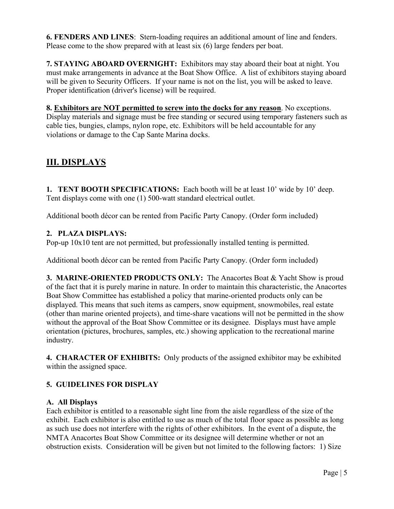**6. FENDERS AND LINES**: Stern-loading requires an additional amount of line and fenders. Please come to the show prepared with at least six (6) large fenders per boat.

**7. STAYING ABOARD OVERNIGHT:** Exhibitors may stay aboard their boat at night. You must make arrangements in advance at the Boat Show Office. A list of exhibitors staying aboard will be given to Security Officers. If your name is not on the list, you will be asked to leave. Proper identification (driver's license) will be required.

**8. Exhibitors are NOT permitted to screw into the docks for any reason**. No exceptions. Display materials and signage must be free standing or secured using temporary fasteners such as cable ties, bungies, clamps, nylon rope, etc. Exhibitors will be held accountable for any violations or damage to the Cap Sante Marina docks.

## **III. DISPLAYS**

**1. TENT BOOTH SPECIFICATIONS:** Each booth will be at least 10' wide by 10' deep. Tent displays come with one (1) 500-watt standard electrical outlet.

Additional booth décor can be rented from Pacific Party Canopy. (Order form included)

#### **2. PLAZA DISPLAYS:**

Pop-up 10x10 tent are not permitted, but professionally installed tenting is permitted.

Additional booth décor can be rented from Pacific Party Canopy. (Order form included)

**3. MARINE-ORIENTED PRODUCTS ONLY:** The Anacortes Boat & Yacht Show is proud of the fact that it is purely marine in nature. In order to maintain this characteristic, the Anacortes Boat Show Committee has established a policy that marine-oriented products only can be displayed. This means that such items as campers, snow equipment, snowmobiles, real estate (other than marine oriented projects), and time-share vacations will not be permitted in the show without the approval of the Boat Show Committee or its designee. Displays must have ample orientation (pictures, brochures, samples, etc.) showing application to the recreational marine industry.

**4. CHARACTER OF EXHIBITS:** Only products of the assigned exhibitor may be exhibited within the assigned space.

#### **5. GUIDELINES FOR DISPLAY**

#### **A. All Displays**

Each exhibitor is entitled to a reasonable sight line from the aisle regardless of the size of the exhibit. Each exhibitor is also entitled to use as much of the total floor space as possible as long as such use does not interfere with the rights of other exhibitors. In the event of a dispute, the NMTA Anacortes Boat Show Committee or its designee will determine whether or not an obstruction exists. Consideration will be given but not limited to the following factors: 1) Size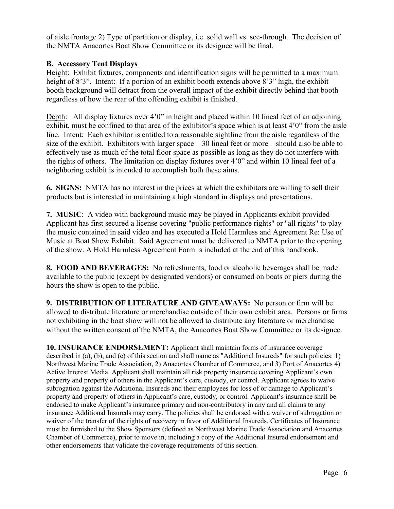of aisle frontage 2) Type of partition or display, i.e. solid wall vs. see-through. The decision of the NMTA Anacortes Boat Show Committee or its designee will be final.

#### **B. Accessory Tent Displays**

Height: Exhibit fixtures, components and identification signs will be permitted to a maximum height of 8'3". Intent: If a portion of an exhibit booth extends above 8'3" high, the exhibit booth background will detract from the overall impact of the exhibit directly behind that booth regardless of how the rear of the offending exhibit is finished.

Depth: All display fixtures over 4'0" in height and placed within 10 lineal feet of an adjoining exhibit, must be confined to that area of the exhibitor's space which is at least 4'0" from the aisle line. Intent: Each exhibitor is entitled to a reasonable sightline from the aisle regardless of the size of the exhibit. Exhibitors with larger space – 30 lineal feet or more – should also be able to effectively use as much of the total floor space as possible as long as they do not interfere with the rights of others. The limitation on display fixtures over 4'0" and within 10 lineal feet of a neighboring exhibit is intended to accomplish both these aims.

**6. SIGNS:** NMTA has no interest in the prices at which the exhibitors are willing to sell their products but is interested in maintaining a high standard in displays and presentations.

**7. MUSIC**: A video with background music may be played in Applicants exhibit provided Applicant has first secured a license covering "public performance rights" or "all rights" to play the music contained in said video and has executed a Hold Harmless and Agreement Re: Use of Music at Boat Show Exhibit. Said Agreement must be delivered to NMTA prior to the opening of the show. A Hold Harmless Agreement Form is included at the end of this handbook.

**8. FOOD AND BEVERAGES:** No refreshments, food or alcoholic beverages shall be made available to the public (except by designated vendors) or consumed on boats or piers during the hours the show is open to the public.

**9. DISTRIBUTION OF LITERATURE AND GIVEAWAYS:** No person or firm will be allowed to distribute literature or merchandise outside of their own exhibit area. Persons or firms not exhibiting in the boat show will not be allowed to distribute any literature or merchandise without the written consent of the NMTA, the Anacortes Boat Show Committee or its designee.

**10. INSURANCE ENDORSEMENT:** Applicant shall maintain forms of insurance coverage described in (a), (b), and (c) of this section and shall name as "Additional Insureds" for such policies: 1) Northwest Marine Trade Association, 2) Anacortes Chamber of Commerce, and 3) Port of Anacortes 4) Active Interest Media. Applicant shall maintain all risk property insurance covering Applicant's own property and property of others in the Applicant's care, custody, or control. Applicant agrees to waive subrogation against the Additional Insureds and their employees for loss of or damage to Applicant's property and property of others in Applicant's care, custody, or control. Applicant's insurance shall be endorsed to make Applicant's insurance primary and non-contributory in any and all claims to any insurance Additional Insureds may carry. The policies shall be endorsed with a waiver of subrogation or waiver of the transfer of the rights of recovery in favor of Additional Insureds. Certificates of Insurance must be furnished to the Show Sponsors (defined as Northwest Marine Trade Association and Anacortes Chamber of Commerce), prior to move in, including a copy of the Additional Insured endorsement and other endorsements that validate the coverage requirements of this section.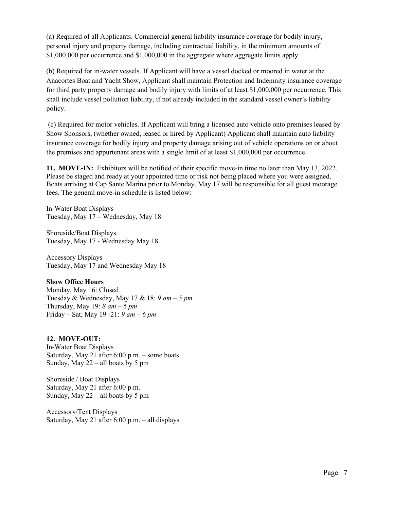(a) Required of all Applicants. Commercial general liability insurance coverage for bodily injury, personal injury and property damage, including contractual liability, in the minimum amounts of \$1,000,000 per occurrence and \$1,000,000 in the aggregate where aggregate limits apply.

(b) Required for in-water vessels. If Applicant will have a vessel docked or moored in water at the Anacortes Boat and Yacht Show, Applicant shall maintain Protection and Indemnity insurance coverage for third party property damage and bodily injury with limits of at least \$1,000,000 per occurrence. This shall include vessel pollution liability, if not already included in the standard vessel owner's liability policy.

(c) Required for motor vehicles. If Applicant will bring a licensed auto vehicle onto premises leased by Show Sponsors, (whether owned, leased or hired by Applicant) Applicant shall maintain auto liability insurance coverage for bodily injury and property damage arising out of vehicle operations on or about the premises and appurtenant areas with a single limit of at least \$1,000,000 per occurrence.

**11. MOVE-IN:** Exhibitors will be notified of their specific move-in time no later than May 13, 2022. Please be staged and ready at your appointed time or risk not being placed where you were assigned. Boats arriving at Cap Sante Marina prior to Monday, May 17 will be responsible for all guest moorage fees. The general move-in schedule is listed below:

In-Water Boat Displays Tuesday, May 17 – Wednesday, May 18

Shoreside/Boat Displays Tuesday, May 17 - Wednesday May 18.

Accessory Displays Tuesday, May 17 and Wednesday May 18

#### **Show Office Hours**

Monday, May 16: Closed Tuesday & Wednesday, May 17 & 18: *9 am – 5 pm* Thursday, May 19: *8 am – 6 pm* Friday – Sat, May 19 -21: *9 am – 6 pm*

#### **12. MOVE-OUT:**

In-Water Boat Displays Saturday, May 21 after 6:00 p.m. – some boats Sunday, May 22 – all boats by 5 pm

Shoreside / Boat Displays Saturday, May 21 after 6:00 p.m. Sunday, May 22 – all boats by 5 pm

Accessory/Tent Displays Saturday, May 21 after 6:00 p.m. – all displays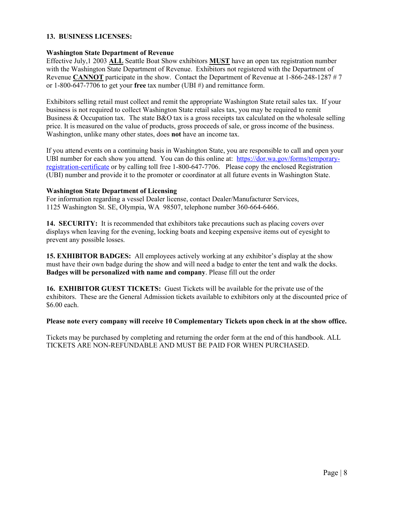#### **13. BUSINESS LICENSES:**

#### **Washington State Department of Revenue**

Effective July,1 2003 **ALL** Seattle Boat Show exhibitors **MUST** have an open tax registration number with the Washington State Department of Revenue. Exhibitors not registered with the Department of Revenue **CANNOT** participate in the show. Contact the Department of Revenue at 1-866-248-1287 # 7 or 1-800-647-7706 to get your **free** tax number (UBI #) and remittance form.

Exhibitors selling retail must collect and remit the appropriate Washington State retail sales tax. If your business is not required to collect Washington State retail sales tax, you may be required to remit Business & Occupation tax. The state B&O tax is a gross receipts tax calculated on the wholesale selling price. It is measured on the value of products, gross proceeds of sale, or gross income of the business. Washington, unlike many other states, does **not** have an income tax.

If you attend events on a continuing basis in Washington State, you are responsible to call and open your UBI number for each show you attend. You can do this online at: [https://dor.wa.gov/forms/temporary](https://dor.wa.gov/forms/temporary-registration-certificate)[registration-certificate](https://dor.wa.gov/forms/temporary-registration-certificate) or by calling toll free 1-800-647-7706. Please copy the enclosed Registration (UBI) number and provide it to the promoter or coordinator at all future events in Washington State.

#### **Washington State Department of Licensing**

For information regarding a vessel Dealer license, contact Dealer/Manufacturer Services, 1125 Washington St. SE, Olympia, WA 98507, telephone number 360-664-6466.

**14. SECURITY:** It is recommended that exhibitors take precautions such as placing covers over displays when leaving for the evening, locking boats and keeping expensive items out of eyesight to prevent any possible losses.

**15. EXHIBITOR BADGES:** All employees actively working at any exhibitor's display at the show must have their own badge during the show and will need a badge to enter the tent and walk the docks. **Badges will be personalized with name and company**. Please fill out the order

**16. EXHIBITOR GUEST TICKETS:** Guest Tickets will be available for the private use of the exhibitors. These are the General Admission tickets available to exhibitors only at the discounted price of \$6.00 each.

#### **Please note every company will receive 10 Complementary Tickets upon check in at the show office.**

Tickets may be purchased by completing and returning the order form at the end of this handbook. ALL TICKETS ARE NON-REFUNDABLE AND MUST BE PAID FOR WHEN PURCHASED.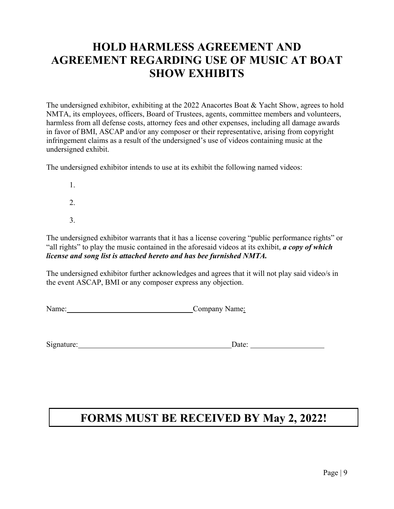# **HOLD HARMLESS AGREEMENT AND AGREEMENT REGARDING USE OF MUSIC AT BOAT SHOW EXHIBITS**

The undersigned exhibitor, exhibiting at the 2022 Anacortes Boat & Yacht Show, agrees to hold NMTA, its employees, officers, Board of Trustees, agents, committee members and volunteers, harmless from all defense costs, attorney fees and other expenses, including all damage awards in favor of BMI, ASCAP and/or any composer or their representative, arising from copyright infringement claims as a result of the undersigned's use of videos containing music at the undersigned exhibit.

The undersigned exhibitor intends to use at its exhibit the following named videos:

- 1.  $2<sub>1</sub>$
- 3.

The undersigned exhibitor warrants that it has a license covering "public performance rights" or "all rights" to play the music contained in the aforesaid videos at its exhibit, *a copy of which license and song list is attached hereto and has bee furnished NMTA.*

The undersigned exhibitor further acknowledges and agrees that it will not play said video/s in the event ASCAP, BMI or any composer express any objection.

Name: Company Name:

Signature: Date: Date:

# **FORMS MUST BE RECEIVED BY May 2, 2022!**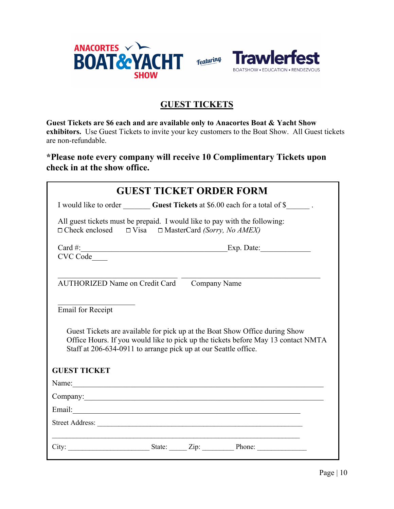



## **GUEST TICKETS**

**Guest Tickets are \$6 each and are available only to Anacortes Boat & Yacht Show exhibitors.** Use Guest Tickets to invite your key customers to the Boat Show. All Guest tickets are non-refundable.

**\*Please note every company will receive 10 Complimentary Tickets upon check in at the show office.** 

|                                                                                                                                                                                                                                     |  |  | <b>GUEST TICKET ORDER FORM</b>                                                                                                                                                                                                |  |  |  |  |
|-------------------------------------------------------------------------------------------------------------------------------------------------------------------------------------------------------------------------------------|--|--|-------------------------------------------------------------------------------------------------------------------------------------------------------------------------------------------------------------------------------|--|--|--|--|
|                                                                                                                                                                                                                                     |  |  | I would like to order Guest Tickets at \$6.00 each for a total of \$                                                                                                                                                          |  |  |  |  |
| All guest tickets must be prepaid. I would like to pay with the following:<br>$\Box$ Check enclosed $\Box$ Visa $\Box$ MasterCard (Sorry, No AMEX)                                                                                  |  |  |                                                                                                                                                                                                                               |  |  |  |  |
|                                                                                                                                                                                                                                     |  |  | Card #: Exp. Date:                                                                                                                                                                                                            |  |  |  |  |
| CVC Code                                                                                                                                                                                                                            |  |  |                                                                                                                                                                                                                               |  |  |  |  |
| AUTHORIZED Name on Credit Card Company Name                                                                                                                                                                                         |  |  |                                                                                                                                                                                                                               |  |  |  |  |
| <b>Email for Receipt</b>                                                                                                                                                                                                            |  |  |                                                                                                                                                                                                                               |  |  |  |  |
| Guest Tickets are available for pick up at the Boat Show Office during Show<br>Office Hours. If you would like to pick up the tickets before May 13 contact NMTA<br>Staff at 206-634-0911 to arrange pick up at our Seattle office. |  |  |                                                                                                                                                                                                                               |  |  |  |  |
| <b>GUEST TICKET</b>                                                                                                                                                                                                                 |  |  |                                                                                                                                                                                                                               |  |  |  |  |
|                                                                                                                                                                                                                                     |  |  | Name: Name: Name: Name: Name: Name: Name: Name: Name: Name: Name: Name: Name: Name: Name: Name: Name: Name: Name: Name: Name: Name: Name: Name: Name: Name: Name: Name: Name: Name: Name: Name: Name: Name: Name: Name: Name: |  |  |  |  |
| Company: Company:                                                                                                                                                                                                                   |  |  |                                                                                                                                                                                                                               |  |  |  |  |
|                                                                                                                                                                                                                                     |  |  |                                                                                                                                                                                                                               |  |  |  |  |
|                                                                                                                                                                                                                                     |  |  |                                                                                                                                                                                                                               |  |  |  |  |
|                                                                                                                                                                                                                                     |  |  |                                                                                                                                                                                                                               |  |  |  |  |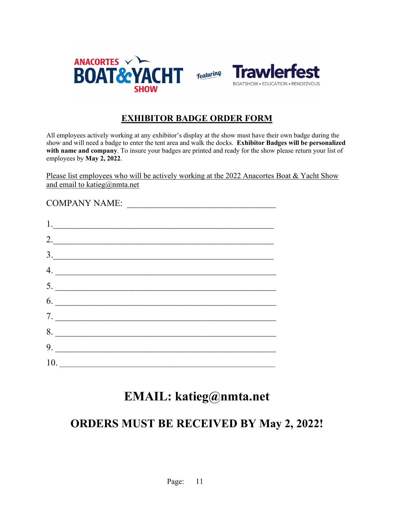

### **EXHIBITOR BADGE ORDER FORM**

All employees actively working at any exhibitor's display at the show must have their own badge during the show and will need a badge to enter the tent area and walk the docks. **Exhibitor Badges will be personalized**  with name and company. To insure your badges are printed and ready for the show please return your list of employees by **May 2, 2022**.

Please list employees who will be actively working at the 2022 Anacortes Boat & Yacht Show and email to katieg@nmta.net

COMPANY NAME:

| 1. |                                               |  |
|----|-----------------------------------------------|--|
|    | 2.                                            |  |
|    | $\begin{array}{c}\n3.\n\end{array}$           |  |
| 4. |                                               |  |
|    | 5.                                            |  |
|    | $\begin{array}{c}\n6. \\ \hline\n\end{array}$ |  |
|    | 7.                                            |  |
|    | 8.                                            |  |
|    | 9.                                            |  |
|    |                                               |  |

# **EMAIL: katieg@nmta.net**

# **ORDERS MUST BE RECEIVED BY May 2, 2022!**